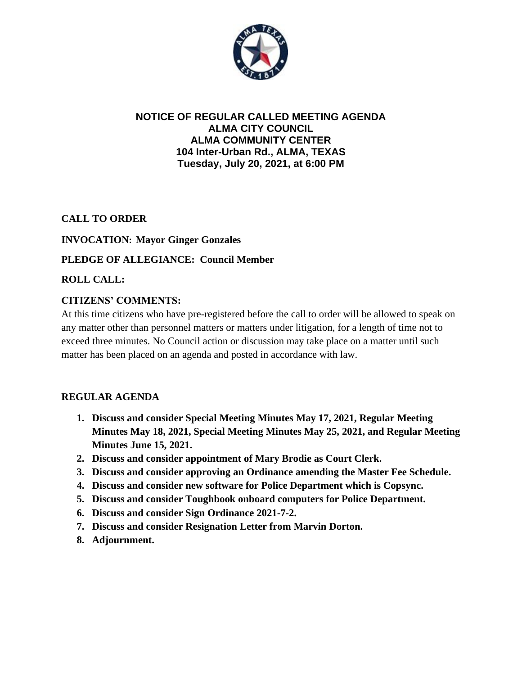

## **NOTICE OF REGULAR CALLED MEETING AGENDA ALMA CITY COUNCIL ALMA COMMUNITY CENTER 104 Inter-Urban Rd., ALMA, TEXAS Tuesday, July 20, 2021, at 6:00 PM**

**CALL TO ORDER**

#### **INVOCATION: Mayor Ginger Gonzales**

#### **PLEDGE OF ALLEGIANCE: Council Member**

**ROLL CALL:**

#### **CITIZENS' COMMENTS:**

At this time citizens who have pre-registered before the call to order will be allowed to speak on any matter other than personnel matters or matters under litigation, for a length of time not to exceed three minutes. No Council action or discussion may take place on a matter until such matter has been placed on an agenda and posted in accordance with law.

## **REGULAR AGENDA**

- **1. Discuss and consider Special Meeting Minutes May 17, 2021, Regular Meeting Minutes May 18, 2021, Special Meeting Minutes May 25, 2021, and Regular Meeting Minutes June 15, 2021.**
- **2. Discuss and consider appointment of Mary Brodie as Court Clerk.**
- **3. Discuss and consider approving an Ordinance amending the Master Fee Schedule.**
- **4. Discuss and consider new software for Police Department which is Copsync.**
- **5. Discuss and consider Toughbook onboard computers for Police Department.**
- **6. Discuss and consider Sign Ordinance 2021-7-2.**
- **7. Discuss and consider Resignation Letter from Marvin Dorton.**
- **8. Adjournment.**